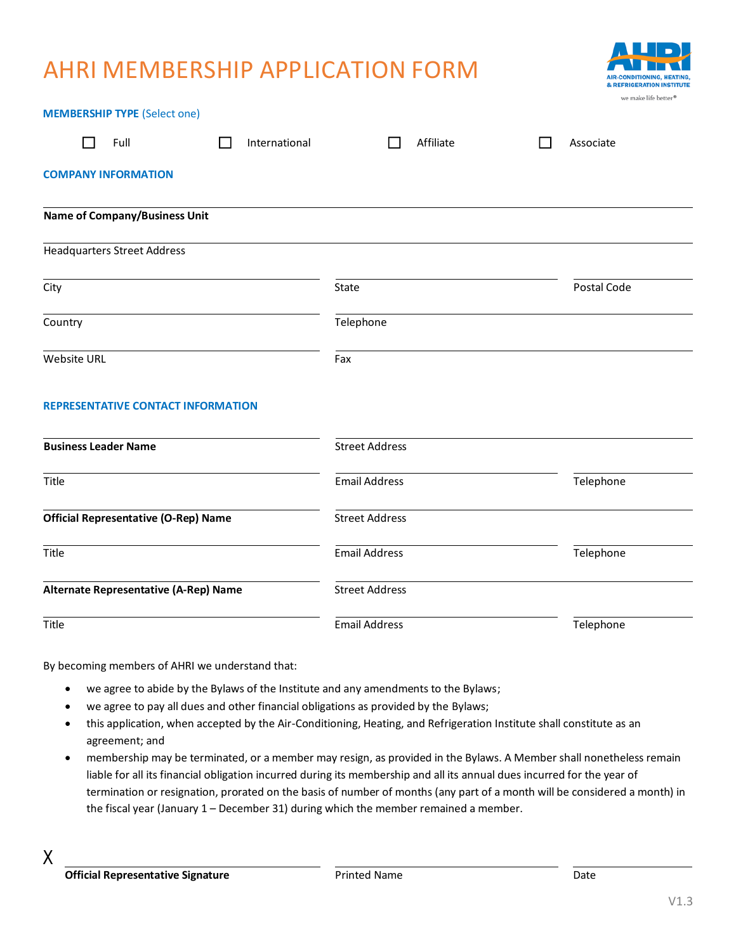## AHRI MEMBERSHIP APPLICATION FORM

**MEMBERSHIP TYPE** (Select one)



|                                             | <b>MEMBERSHIP TYPE</b> (Select one)   |                       |               |                       |           |             |  |
|---------------------------------------------|---------------------------------------|-----------------------|---------------|-----------------------|-----------|-------------|--|
|                                             | Full                                  | $\mathbf{I}$          | International |                       | Affiliate | Associate   |  |
|                                             | <b>COMPANY INFORMATION</b>            |                       |               |                       |           |             |  |
|                                             | <b>Name of Company/Business Unit</b>  |                       |               |                       |           |             |  |
|                                             | <b>Headquarters Street Address</b>    |                       |               |                       |           |             |  |
| City                                        |                                       |                       |               | State                 |           | Postal Code |  |
| Country                                     |                                       |                       |               | Telephone             |           |             |  |
| <b>Website URL</b>                          |                                       |                       |               | Fax                   |           |             |  |
|                                             | REPRESENTATIVE CONTACT INFORMATION    |                       |               |                       |           |             |  |
| <b>Business Leader Name</b>                 |                                       |                       |               | <b>Street Address</b> |           |             |  |
| Title                                       |                                       |                       |               | <b>Email Address</b>  |           | Telephone   |  |
| <b>Official Representative (O-Rep) Name</b> |                                       | <b>Street Address</b> |               |                       |           |             |  |
| Title                                       |                                       |                       |               | <b>Email Address</b>  |           | Telephone   |  |
|                                             | Alternate Representative (A-Rep) Name |                       |               | <b>Street Address</b> |           |             |  |
| Title                                       |                                       |                       |               | <b>Email Address</b>  |           | Telephone   |  |
|                                             |                                       |                       |               |                       |           |             |  |

By becoming members of AHRI we understand that:

- we agree to abide by the Bylaws of the Institute and any amendments to the Bylaws;
- we agree to pay all dues and other financial obligations as provided by the Bylaws;
- this application, when accepted by the Air-Conditioning, Heating, and Refrigeration Institute shall constitute as an agreement; and
- membership may be terminated, or a member may resign, as provided in the Bylaws. A Member shall nonetheless remain liable for all its financial obligation incurred during its membership and all its annual dues incurred for the year of termination or resignation, prorated on the basis of number of months (any part of a month will be considered a month) in the fiscal year (January 1 – December 31) during which the member remained a member.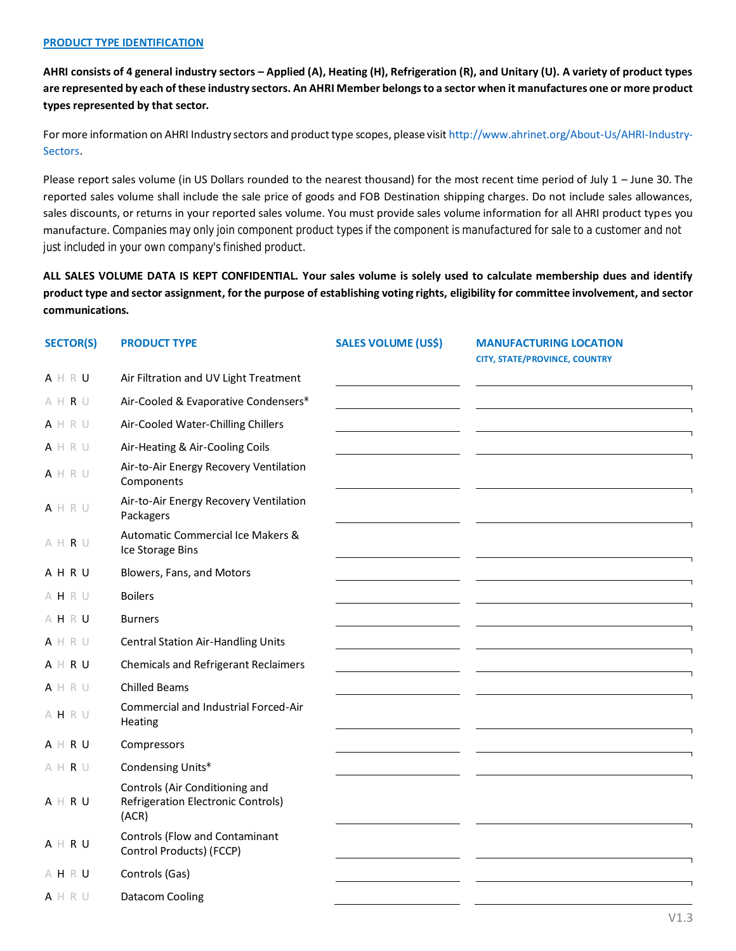## **PRODUCT TYPE IDENTIFICATION**

**AHRI consists of 4 general industry sectors – Applied (A), Heating (H), Refrigeration (R), and Unitary (U). A variety of product types are represented by each of these industry sectors. An AHRI Member belongs to a sector when it manufactures one or more product types represented by that sector.**

For more information on AHRI Industry sectors and product type scopes, please visit [http://www.ahrinet.org/About-Us/AHRI-Industry-](http://www.ahrinet.org/About-Us/AHRI-Industry-Sectors)[Sectors.](http://www.ahrinet.org/About-Us/AHRI-Industry-Sectors)

Please report sales volume (in US Dollars rounded to the nearest thousand) for the most recent time period of July  $1 -$ June 30. The reported sales volume shall include the sale price of goods and FOB Destination shipping charges. Do not include sales allowances, sales discounts, or returns in your reported sales volume. You must provide sales volume information for all AHRI product types you manufacture. *Companies may only join component product types if the component is manufactured for sale to a customer and not just included in your own company's finished product.*

**ALL SALES VOLUME DATA IS KEPT CONFIDENTIAL. Your sales volume is solely used to calculate membership dues and identify product type and sector assignment, for the purpose of establishing voting rights, eligibility for committee involvement, and sector communications.**

| <b>SECTOR(S)</b>                            | <b>PRODUCT TYPE</b>                                                           | <b>SALES VOLUME (US\$)</b> | <b>MANUFACTURING LOCATION</b>        |
|---------------------------------------------|-------------------------------------------------------------------------------|----------------------------|--------------------------------------|
|                                             |                                                                               |                            | <b>CITY, STATE/PROVINCE, COUNTRY</b> |
| A H R U                                     | Air Filtration and UV Light Treatment                                         |                            |                                      |
| $\wedge \ \ \vdash \ \ \mathsf{R} \ \ \cup$ | Air-Cooled & Evaporative Condensers*                                          |                            |                                      |
| A H R U                                     | Air-Cooled Water-Chilling Chillers                                            |                            |                                      |
| A H R U                                     | Air-Heating & Air-Cooling Coils                                               |                            |                                      |
| A H R U                                     | Air-to-Air Energy Recovery Ventilation<br>Components                          |                            |                                      |
| A H R U                                     | Air-to-Air Energy Recovery Ventilation<br>Packagers                           |                            |                                      |
| $\wedge \ \ \vdash \ \ \mathsf{R} \ \ \cup$ | Automatic Commercial Ice Makers &<br>Ice Storage Bins                         |                            |                                      |
| AHRU                                        | Blowers, Fans, and Motors                                                     |                            |                                      |
| AHRU                                        | <b>Boilers</b>                                                                |                            |                                      |
| AHRU                                        | <b>Burners</b>                                                                |                            |                                      |
| A H R U                                     | <b>Central Station Air-Handling Units</b>                                     |                            |                                      |
| $A \mid R \cup$                             | <b>Chemicals and Refrigerant Reclaimers</b>                                   |                            |                                      |
| A H R U                                     | <b>Chilled Beams</b>                                                          |                            |                                      |
| AHRU                                        | Commercial and Industrial Forced-Air<br>Heating                               |                            |                                      |
| $A \vdash R U$                              | Compressors                                                                   |                            |                                      |
| $A$ H R U                                   | Condensing Units*                                                             |                            |                                      |
| A H R U                                     | Controls (Air Conditioning and<br>Refrigeration Electronic Controls)<br>(ACR) |                            |                                      |
| A H R U                                     | Controls (Flow and Contaminant<br>Control Products) (FCCP)                    |                            |                                      |
| AHRU                                        | Controls (Gas)                                                                |                            |                                      |
| A H R U                                     | Datacom Cooling                                                               |                            |                                      |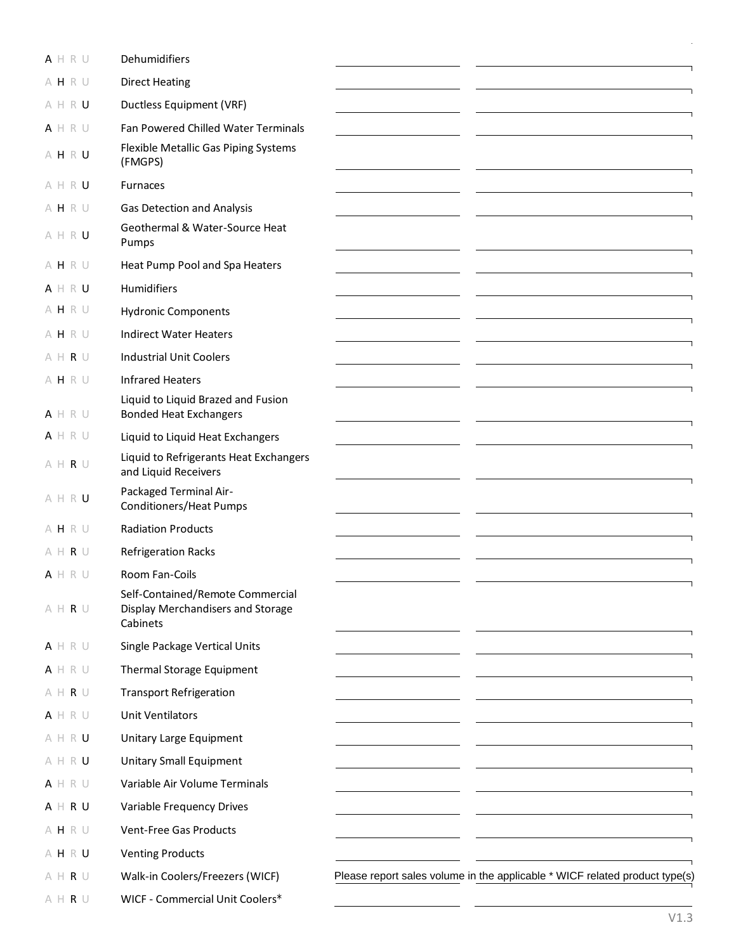| A H R U                                     | Dehumidifiers                                                                     |                                                                             |
|---------------------------------------------|-----------------------------------------------------------------------------------|-----------------------------------------------------------------------------|
| AHRU                                        | <b>Direct Heating</b>                                                             |                                                                             |
| AHRU                                        | Ductless Equipment (VRF)                                                          |                                                                             |
| A H R U                                     | Fan Powered Chilled Water Terminals                                               |                                                                             |
| AHRU                                        | Flexible Metallic Gas Piping Systems<br>(FMGPS)                                   |                                                                             |
| AHRU                                        | <b>Furnaces</b>                                                                   |                                                                             |
| AHRU                                        | Gas Detection and Analysis                                                        |                                                                             |
| AHRU                                        | Geothermal & Water-Source Heat<br>Pumps                                           |                                                                             |
| AHRU                                        | Heat Pump Pool and Spa Heaters                                                    |                                                                             |
| $A \H B \R U$                               | Humidifiers                                                                       |                                                                             |
| AHRU                                        | <b>Hydronic Components</b>                                                        |                                                                             |
| AHRU                                        | <b>Indirect Water Heaters</b>                                                     |                                                                             |
| $A$ H R U                                   | <b>Industrial Unit Coolers</b>                                                    |                                                                             |
| AHRU                                        | <b>Infrared Heaters</b>                                                           |                                                                             |
| A H R U                                     | Liquid to Liquid Brazed and Fusion<br><b>Bonded Heat Exchangers</b>               |                                                                             |
| A H R U                                     | Liquid to Liquid Heat Exchangers                                                  |                                                                             |
| $A$ H R U                                   | Liquid to Refrigerants Heat Exchangers<br>and Liquid Receivers                    |                                                                             |
| AHRU                                        | Packaged Terminal Air-<br><b>Conditioners/Heat Pumps</b>                          |                                                                             |
| AHRU                                        | <b>Radiation Products</b>                                                         |                                                                             |
| A H R U                                     | <b>Refrigeration Racks</b>                                                        |                                                                             |
| A H R U                                     | Room Fan-Coils                                                                    |                                                                             |
| $A$ H R U                                   | Self-Contained/Remote Commercial<br>Display Merchandisers and Storage<br>Cabinets |                                                                             |
| A H R U                                     | Single Package Vertical Units                                                     |                                                                             |
| A H R U                                     | Thermal Storage Equipment                                                         |                                                                             |
| $\wedge \ \ \vdash \ \ \mathsf{R} \ \ \cup$ | <b>Transport Refrigeration</b>                                                    |                                                                             |
| A H R U                                     | <b>Unit Ventilators</b>                                                           |                                                                             |
| AHRU                                        | Unitary Large Equipment                                                           |                                                                             |
| AHRU                                        | <b>Unitary Small Equipment</b>                                                    |                                                                             |
| A H R U                                     | Variable Air Volume Terminals                                                     |                                                                             |
| A H R U                                     | Variable Frequency Drives                                                         |                                                                             |
| AHRU                                        | Vent-Free Gas Products                                                            |                                                                             |
| AHRU                                        | <b>Venting Products</b>                                                           |                                                                             |
| $A$ H R U                                   | Walk-in Coolers/Freezers (WICF)                                                   | Please report sales volume in the applicable * WICF related product type(s) |
| $\wedge \ \vdash \ \mathsf{R} \ \cup$       | WICF - Commercial Unit Coolers*                                                   |                                                                             |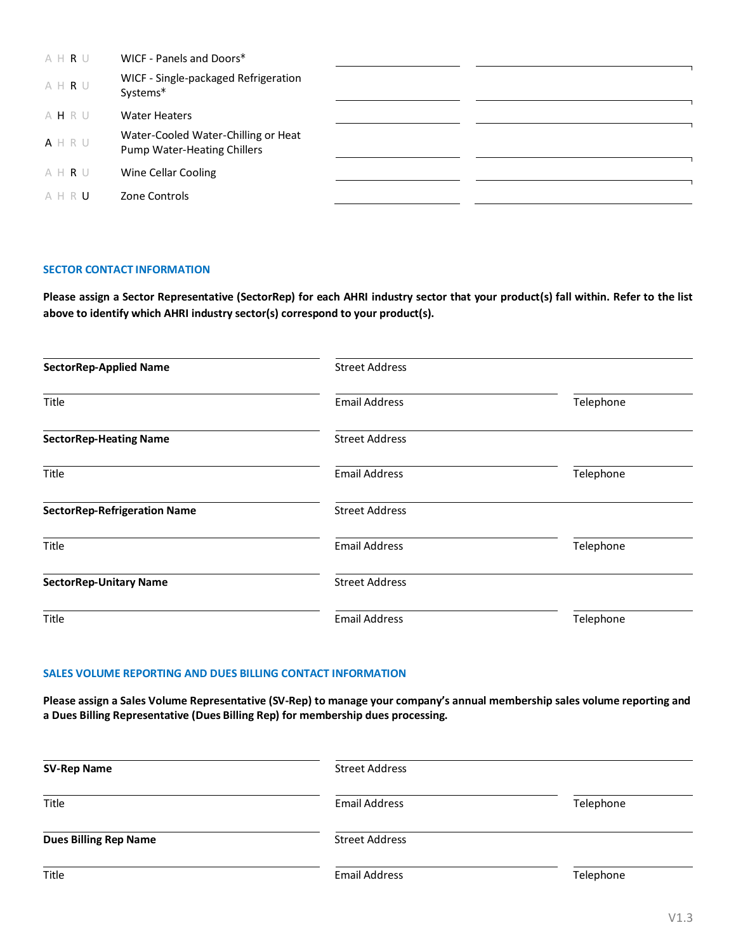| AHRU    | WICF - Panels and Doors*                                           |  |
|---------|--------------------------------------------------------------------|--|
| AHRU    | WICF - Single-packaged Refrigeration<br>Systems*                   |  |
| AHRU    | <b>Water Heaters</b>                                               |  |
| A H R U | Water-Cooled Water-Chilling or Heat<br>Pump Water-Heating Chillers |  |
| AHRU    | Wine Cellar Cooling                                                |  |
| AHRU    | Zone Controls                                                      |  |

## **SECTOR CONTACT INFORMATION**

**Please assign a Sector Representative (SectorRep) for each AHRI industry sector that your product(s) fall within. Refer to the list above to identify which AHRI industry sector(s) correspond to your product(s).** 

| <b>SectorRep-Applied Name</b>       | <b>Street Address</b> |           |
|-------------------------------------|-----------------------|-----------|
| <b>Title</b>                        | <b>Email Address</b>  | Telephone |
| <b>SectorRep-Heating Name</b>       | <b>Street Address</b> |           |
| Title                               | <b>Email Address</b>  | Telephone |
| <b>SectorRep-Refrigeration Name</b> | <b>Street Address</b> |           |
| Title                               | <b>Email Address</b>  | Telephone |
| <b>SectorRep-Unitary Name</b>       | <b>Street Address</b> |           |
| Title                               | <b>Email Address</b>  | Telephone |

## **SALES VOLUME REPORTING AND DUES BILLING CONTACT INFORMATION**

**Please assign a Sales Volume Representative (SV-Rep) to manage your company's annual membership sales volume reporting and a Dues Billing Representative (Dues Billing Rep) for membership dues processing.**

| <b>SV-Rep Name</b>           | <b>Street Address</b> |           |
|------------------------------|-----------------------|-----------|
| Title                        | <b>Email Address</b>  | Telephone |
| <b>Dues Billing Rep Name</b> | <b>Street Address</b> |           |
| Title                        | <b>Email Address</b>  | Telephone |